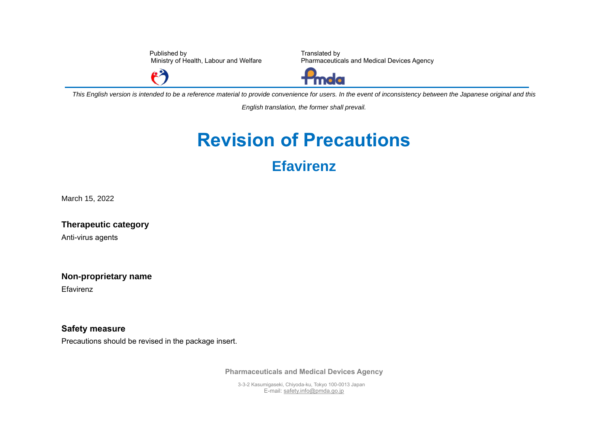Published by Ministry of Health, Labour and Welfare

 $\epsilon^2$ 

Translated by Pharmaceuticals and Medical Devices Agency



*This English version is intended to be a reference material to provide convenience for users. In the event of inconsistency between the Japanese original and this* 

*English translation, the former shall prevail.*

## **Revision of Precautions Efavirenz**

March 15, 2022

**Therapeutic category**

Anti-virus agents

**Non-proprietary name**

Efavirenz

**Safety measure** Precautions should be revised in the package insert.

**Pharmaceuticals and Medical Devices Agency**

3-3-2 Kasumigaseki, Chiyoda-ku, Tokyo 100-0013 Japan E-mail[: safety.info@pmda.go.jp](mailto:safety.info@pmda.go.jp)